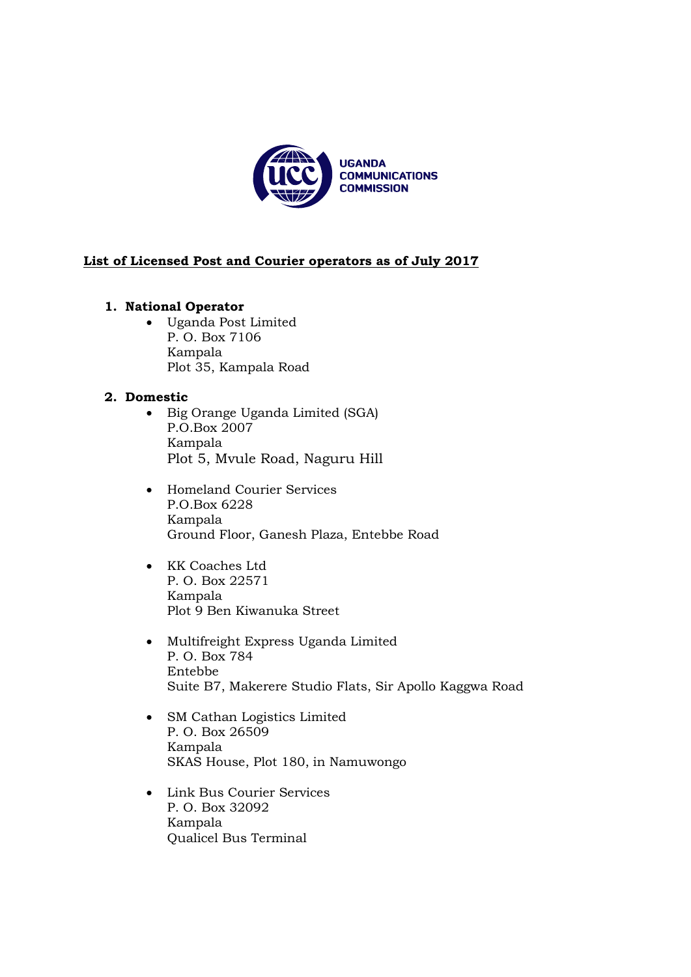

# **List of Licensed Post and Courier operators as of July 2017**

## **1. National Operator**

 Uganda Post Limited P. O. Box 7106 Kampala Plot 35, Kampala Road

# **2. Domestic**

- Big Orange Uganda Limited (SGA) P.O.Box 2007 Kampala Plot 5, Mvule Road, Naguru Hill
- Homeland Courier Services P.O.Box 6228 Kampala Ground Floor, Ganesh Plaza, Entebbe Road
- KK Coaches Ltd P. O. Box 22571 Kampala Plot 9 Ben Kiwanuka Street
- Multifreight Express Uganda Limited P. O. Box 784 Entebbe Suite B7, Makerere Studio Flats, Sir Apollo Kaggwa Road
- SM Cathan Logistics Limited P. O. Box 26509 Kampala SKAS House, Plot 180, in Namuwongo
- Link Bus Courier Services P. O. Box 32092 Kampala Qualicel Bus Terminal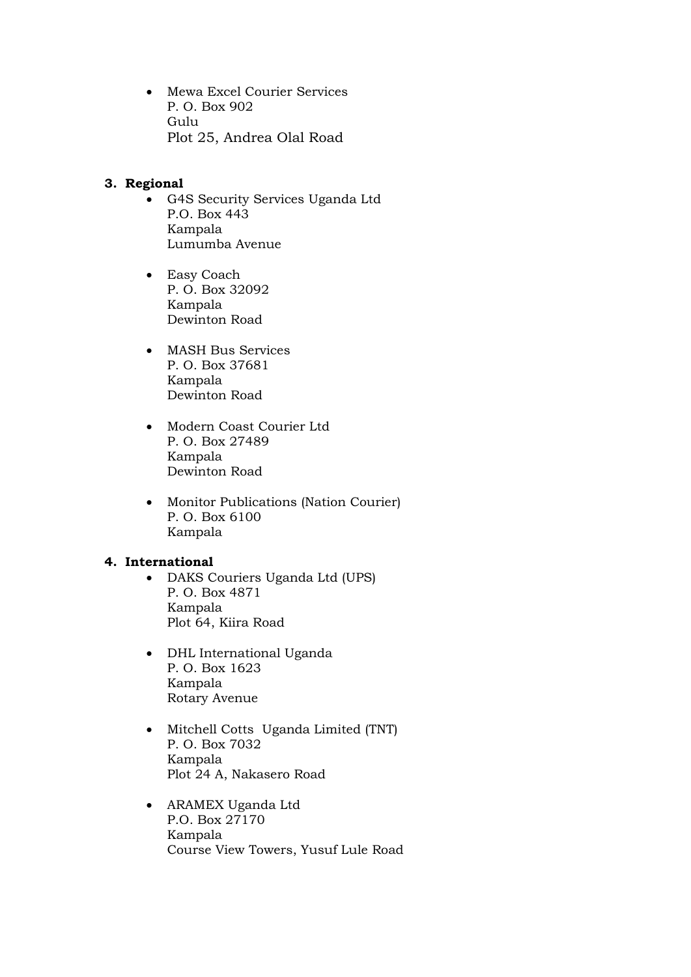Mewa Excel Courier Services P. O. Box 902 Gulu Plot 25, Andrea Olal Road

## **3. Regional**

- G4S Security Services Uganda Ltd P.O. Box 443 Kampala Lumumba Avenue
- Easy Coach P. O. Box 32092 Kampala Dewinton Road
- MASH Bus Services P. O. Box 37681 Kampala Dewinton Road
- Modern Coast Courier Ltd P. O. Box 27489 Kampala Dewinton Road
- Monitor Publications (Nation Courier) P. O. Box 6100 Kampala

#### **4. International**

- DAKS Couriers Uganda Ltd (UPS) P. O. Box 4871 Kampala Plot 64, Kiira Road
- DHL International Uganda P. O. Box 1623 Kampala Rotary Avenue
- Mitchell Cotts Uganda Limited (TNT) P. O. Box 7032 Kampala Plot 24 A, Nakasero Road
- ARAMEX Uganda Ltd P.O. Box 27170 Kampala Course View Towers, Yusuf Lule Road